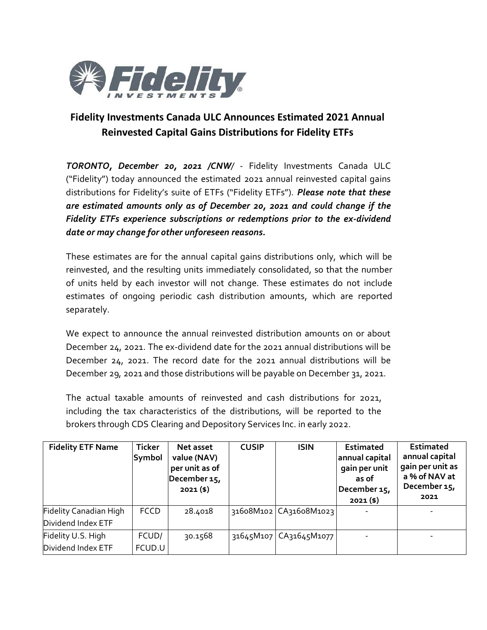

## **Fidelity Investments Canada ULC Announces Estimated 2021 Annual Reinvested Capital Gains Distributions for Fidelity ETFs**

*TORONTO, December 20, 2021 /CNW/* - Fidelity Investments Canada ULC ("Fidelity") today announced the estimated 2021 annual reinvested capital gains distributions for Fidelity's suite of ETFs ("Fidelity ETFs"). *Please note that these are estimated amounts only as of December 20, 2021 and could change if the Fidelity ETFs experience subscriptions or redemptions prior to the ex-dividend date or may change for other unforeseen reasons.*

These estimates are for the annual capital gains distributions only, which will be reinvested, and the resulting units immediately consolidated, so that the number of units held by each investor will not change. These estimates do not include estimates of ongoing periodic cash distribution amounts, which are reported separately.

We expect to announce the annual reinvested distribution amounts on or about December 24, 2021. The ex-dividend date for the 2021 annual distributions will be December 24, 2021. The record date for the 2021 annual distributions will be December 29, 2021 and those distributions will be payable on December 31, 2021.

The actual taxable amounts of reinvested and cash distributions for 2021, including the tax characteristics of the distributions, will be reported to the brokers through CDS Clearing and Depository Services Inc. in early 2022.

| <b>Fidelity ETF Name</b>                     | <b>Ticker</b><br>Symbol | Net asset<br>value (NAV)<br>per unit as of<br>December 15,<br>$2021($ \$) | <b>CUSIP</b> | <b>ISIN</b>              | <b>Estimated</b><br>annual capital<br>gain per unit<br>as of<br>December 15,<br>$2021($ \$) | <b>Estimated</b><br>annual capital<br>gain per unit as<br>a % of NAV at<br>December 15,<br>2021 |
|----------------------------------------------|-------------------------|---------------------------------------------------------------------------|--------------|--------------------------|---------------------------------------------------------------------------------------------|-------------------------------------------------------------------------------------------------|
| Fidelity Canadian High<br>Dividend Index ETF | <b>FCCD</b>             | 28.4018                                                                   |              | 31608M102 CA31608M1023   |                                                                                             |                                                                                                 |
| Fidelity U.S. High<br>Dividend Index ETF     | FCUD/<br>FCUD.U         | 30.1568                                                                   |              | 31645M107   CA31645M1077 |                                                                                             |                                                                                                 |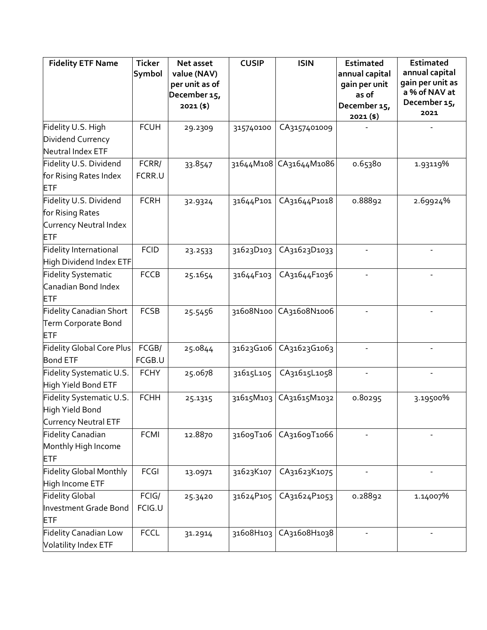| <b>Fidelity ETF Name</b>         | <b>Ticker</b> | Net asset      | <b>CUSIP</b> | <b>ISIN</b>            | <b>Estimated</b>            | <b>Estimated</b>                  |
|----------------------------------|---------------|----------------|--------------|------------------------|-----------------------------|-----------------------------------|
|                                  | Symbol        | value (NAV)    |              |                        | annual capital              | annual capital                    |
|                                  |               | per unit as of |              |                        | gain per unit               | gain per unit as<br>a % of NAV at |
|                                  |               | December 15,   |              |                        | as of                       | December 15,                      |
|                                  |               | $2021($ \$)    |              |                        | December 15,<br>$2021($ \$) | 2021                              |
| Fidelity U.S. High               | <b>FCUH</b>   | 29.2309        | 315740100    | CA3157401009           |                             |                                   |
| Dividend Currency                |               |                |              |                        |                             |                                   |
| Neutral Index ETF                |               |                |              |                        |                             |                                   |
| Fidelity U.S. Dividend           | FCRR/         | 33.8547        |              | 31644M108 CA31644M1086 | 0.65380                     | 1.93119%                          |
| for Rising Rates Index           | FCRR.U        |                |              |                        |                             |                                   |
| <b>ETF</b>                       |               |                |              |                        |                             |                                   |
| Fidelity U.S. Dividend           | <b>FCRH</b>   | 32.9324        | 31644P101    | CA31644P1018           | 0.88892                     | 2.69924%                          |
| for Rising Rates                 |               |                |              |                        |                             |                                   |
| Currency Neutral Index           |               |                |              |                        |                             |                                   |
| <b>ETF</b>                       |               |                |              |                        |                             |                                   |
| <b>Fidelity International</b>    | <b>FCID</b>   | 23.2533        | 31623D103    | CA31623D1033           |                             |                                   |
| High Dividend Index ETF          |               |                |              |                        |                             |                                   |
| <b>Fidelity Systematic</b>       | <b>FCCB</b>   | 25.1654        | 31644F103    | CA31644F1036           |                             |                                   |
| Canadian Bond Index              |               |                |              |                        |                             |                                   |
| ETF                              |               |                |              |                        |                             |                                   |
| <b>Fidelity Canadian Short</b>   | <b>FCSB</b>   | 25.5456        | 31608N100    | CA31608N1006           |                             |                                   |
| Term Corporate Bond              |               |                |              |                        |                             |                                   |
| <b>ETF</b>                       |               |                |              |                        |                             |                                   |
| <b>Fidelity Global Core Plus</b> | FCGB/         | 25.0844        | 31623G106    | CA31623G1063           |                             |                                   |
| <b>Bond ETF</b>                  | FCGB.U        |                |              |                        |                             |                                   |
| Fidelity Systematic U.S.         | <b>FCHY</b>   | 25.0678        | 31615L105    | CA31615L1058           |                             |                                   |
| High Yield Bond ETF              |               |                |              |                        |                             |                                   |
| Fidelity Systematic U.S.         | <b>FCHH</b>   | 25.1315        | 31615M103    | CA31615M1032           | 0.80295                     | 3.19500%                          |
| High Yield Bond                  |               |                |              |                        |                             |                                   |
| Currency Neutral ETF             |               |                |              |                        |                             |                                   |
| <b>Fidelity Canadian</b>         | <b>FCMI</b>   | 12.8870        | 31609T106    | CA31609T1066           |                             |                                   |
| Monthly High Income              |               |                |              |                        |                             |                                   |
| <b>ETF</b>                       |               |                |              |                        |                             |                                   |
| <b>Fidelity Global Monthly</b>   | <b>FCGI</b>   | 13.0971        | 31623K107    | CA31623K1075           |                             |                                   |
| High Income ETF                  |               |                |              |                        |                             |                                   |
| <b>Fidelity Global</b>           | FCIG/         | 25.3420        | 31624P105    | CA31624P1053           | 0.28892                     | 1.14007%                          |
| Investment Grade Bond            | FCIG.U        |                |              |                        |                             |                                   |
| ETF                              |               |                |              |                        |                             |                                   |
| <b>Fidelity Canadian Low</b>     | <b>FCCL</b>   | 31.2914        | 31608H103    | CA31608H1038           |                             |                                   |
| Volatility Index ETF             |               |                |              |                        |                             |                                   |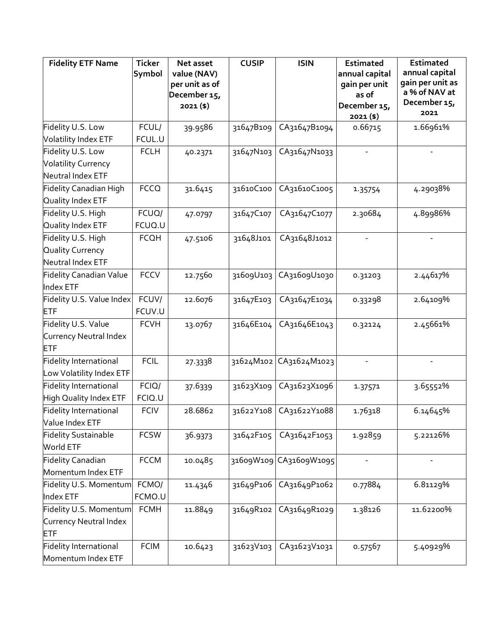| <b>Fidelity ETF Name</b>       | <b>Ticker</b> | Net asset                   | <b>CUSIP</b> | <b>ISIN</b>              | <b>Estimated</b>         | <b>Estimated</b>                  |
|--------------------------------|---------------|-----------------------------|--------------|--------------------------|--------------------------|-----------------------------------|
|                                | Symbol        | value (NAV)                 |              |                          | annual capital           | annual capital                    |
|                                |               | per unit as of              |              |                          | gain per unit            | gain per unit as<br>a % of NAV at |
|                                |               | December 15,<br>$2021($ \$) |              |                          | as of                    | December 15,                      |
|                                |               |                             |              |                          | December 15,<br>2021(\$) | 2021                              |
| Fidelity U.S. Low              | FCUL/         | 39.9586                     | 31647B109    | CA31647B1094             | 0.66715                  | 1.66961%                          |
| Volatility Index ETF           | FCUL.U        |                             |              |                          |                          |                                   |
| Fidelity U.S. Low              | <b>FCLH</b>   | 40.2371                     | 31647N103    | CA31647N1033             |                          |                                   |
| <b>Volatility Currency</b>     |               |                             |              |                          |                          |                                   |
| Neutral Index ETF              |               |                             |              |                          |                          |                                   |
| Fidelity Canadian High         | <b>FCCQ</b>   | 31.6415                     | 31610C100    | CA31610C1005             | 1.35754                  | 4.29038%                          |
| Quality Index ETF              |               |                             |              |                          |                          |                                   |
| Fidelity U.S. High             | FCUQ/         | 47.0797                     | 31647C107    | CA31647C1077             | 2.30684                  | 4.89986%                          |
| Quality Index ETF              | FCUQ.U        |                             |              |                          |                          |                                   |
| Fidelity U.S. High             | <b>FCQH</b>   | 47.5106                     | 31648J101    | CA31648J1012             |                          |                                   |
| Quality Currency               |               |                             |              |                          |                          |                                   |
| Neutral Index ETF              |               |                             |              |                          |                          |                                   |
| <b>Fidelity Canadian Value</b> | <b>FCCV</b>   | 12.7560                     | 31609U103    | CA31609U1030             | 0.31203                  | 2.44617%                          |
| Index ETF                      |               |                             |              |                          |                          |                                   |
| Fidelity U.S. Value Index      | FCUV/         | 12.6076                     | 31647E103    | CA31647E1034             | 0.33298                  | 2.64109%                          |
| <b>ETF</b>                     | FCUV.U        |                             |              |                          |                          |                                   |
| Fidelity U.S. Value            | <b>FCVH</b>   | 13.0767                     | 31646E104    | CA31646E1043             | 0.32124                  | 2.45661%                          |
| Currency Neutral Index         |               |                             |              |                          |                          |                                   |
| <b>ETF</b>                     |               |                             |              |                          |                          |                                   |
| Fidelity International         | <b>FCIL</b>   | 27.3338                     | 31624M102    | CA31624M1023             | $\overline{\phantom{a}}$ |                                   |
| Low Volatility Index ETF       |               |                             |              |                          |                          |                                   |
| <b>Fidelity International</b>  | FCIQ/         | 37.6339                     | 31623X109    | CA31623X1096             | 1.37571                  | 3.65552%                          |
| High Quality Index ETF         | FCIQ.U        |                             |              |                          |                          |                                   |
| <b>Fidelity International</b>  | <b>FCIV</b>   | 28.6862                     |              | 31622Y108   CA31622Y1088 | 1.76318                  | 6.14645%                          |
| Value Index ETF                |               |                             |              |                          |                          |                                   |
| <b>Fidelity Sustainable</b>    | <b>FCSW</b>   | 36.9373                     | 31642F105    | CA31642F1053             | 1.92859                  | 5.22126%                          |
| World ETF                      |               |                             |              |                          |                          |                                   |
| <b>Fidelity Canadian</b>       | <b>FCCM</b>   | 10.0485                     |              | 31609W109 CA31609W1095   |                          |                                   |
| Momentum Index ETF             |               |                             |              |                          |                          |                                   |
| Fidelity U.S. Momentum         | FCMO/         | 11.4346                     | 31649P106    | CA31649P1062             | 0.77884                  | 6.81129%                          |
| Index ETF                      | FCMO.U        |                             |              |                          |                          |                                   |
| Fidelity U.S. Momentum         | <b>FCMH</b>   | 11.8849                     | 31649R102    | CA31649R1029             | 1.38126                  | 11.62200%                         |
| Currency Neutral Index         |               |                             |              |                          |                          |                                   |
| <b>ETF</b>                     |               |                             |              |                          |                          |                                   |
| Fidelity International         | <b>FCIM</b>   | 10.6423                     | 31623V103    | CA31623V1031             | 0.57567                  | 5.40929%                          |
| Momentum Index ETF             |               |                             |              |                          |                          |                                   |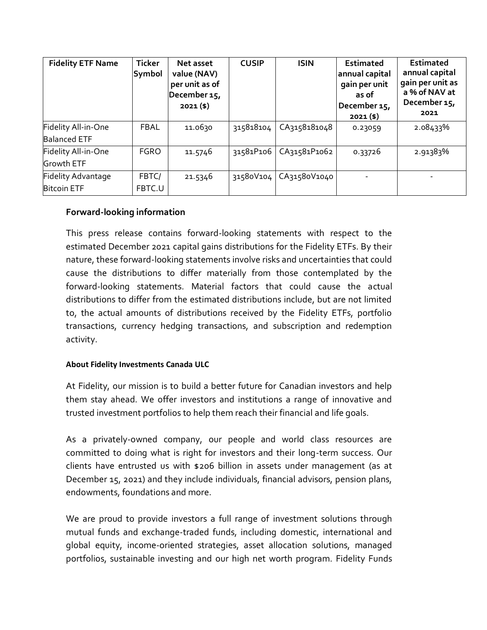| <b>Fidelity ETF Name</b>  | <b>Ticker</b><br>Symbol | Net asset<br>value (NAV)<br>per unit as of<br>December 15,<br>$2021($ \$) | <b>CUSIP</b> | <b>ISIN</b>  | <b>Estimated</b><br>annual capital<br>gain per unit<br>as of<br>December 15,<br>$2021($ \$) | <b>Estimated</b><br>annual capital<br>gain per unit as<br>a % of NAV at<br>December 15,<br>2021 |
|---------------------------|-------------------------|---------------------------------------------------------------------------|--------------|--------------|---------------------------------------------------------------------------------------------|-------------------------------------------------------------------------------------------------|
| Fidelity All-in-One       | <b>FBAL</b>             | 11.0630                                                                   | 315818104    | CA3158181048 | 0.23059                                                                                     | 2.08433%                                                                                        |
| <b>Balanced ETF</b>       |                         |                                                                           |              |              |                                                                                             |                                                                                                 |
| Fidelity All-in-One       | <b>FGRO</b>             | 11.5746                                                                   | 31581P106    | CA31581P1062 | 0.33726                                                                                     | 2.91383%                                                                                        |
| Growth ETF                |                         |                                                                           |              |              |                                                                                             |                                                                                                 |
| <b>Fidelity Advantage</b> | FBTC/                   | 21.5346                                                                   | 31580V104    | CA31580V1040 |                                                                                             |                                                                                                 |
| <b>Bitcoin ETF</b>        | FBTC.U                  |                                                                           |              |              |                                                                                             |                                                                                                 |

## **Forward-looking information**

This press release contains forward-looking statements with respect to the estimated December 2021 capital gains distributions for the Fidelity ETFs. By their nature, these forward-looking statements involve risks and uncertainties that could cause the distributions to differ materially from those contemplated by the forward-looking statements. Material factors that could cause the actual distributions to differ from the estimated distributions include, but are not limited to, the actual amounts of distributions received by the Fidelity ETFs, portfolio transactions, currency hedging transactions, and subscription and redemption activity.

## **About Fidelity Investments Canada ULC**

At Fidelity, our mission is to build a better future for Canadian investors and help them stay ahead. We offer investors and institutions a range of innovative and trusted investment portfolios to help them reach their financial and life goals.

As a privately-owned company, our people and world class resources are committed to doing what is right for investors and their long-term success. Our clients have entrusted us with \$206 billion in assets under management (as at December 15, 2021) and they include individuals, financial advisors, pension plans, endowments, foundations and more.

We are proud to provide investors a full range of investment solutions through mutual funds and exchange-traded funds, including domestic, international and global equity, income-oriented strategies, asset allocation solutions, managed portfolios, sustainable investing and our high net worth program. Fidelity Funds